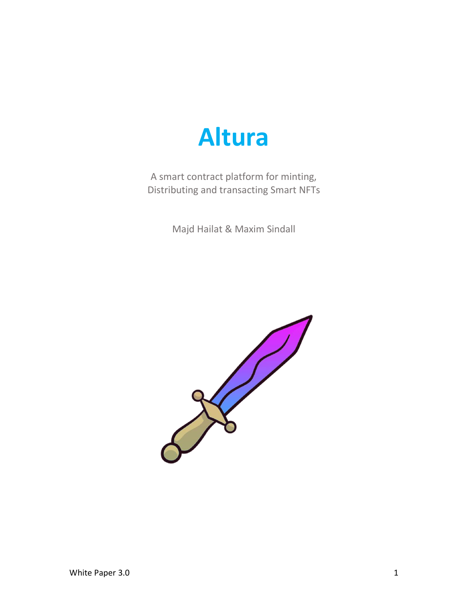

A smart contract platform for minting, Distributing and transacting Smart NFTs

Majd Hailat & Maxim Sindall

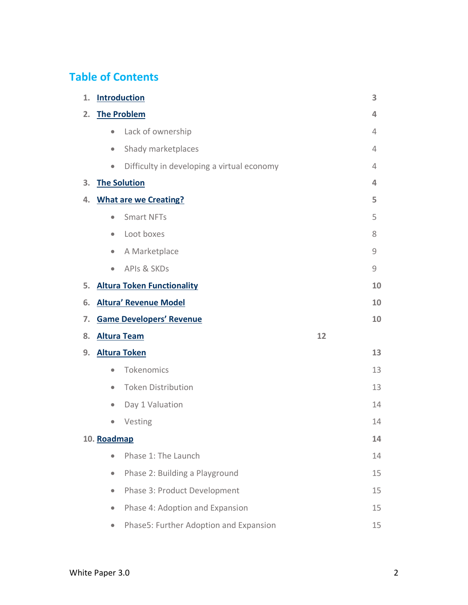# **Table of Contents**

| 1. | <b>Introduction</b> |                                            |              |
|----|---------------------|--------------------------------------------|--------------|
| 2. | <b>The Problem</b>  |                                            | 4            |
|    | $\bullet$           | Lack of ownership                          | 4            |
|    | $\bullet$           | Shady marketplaces                         | 4            |
|    | $\bullet$           | Difficulty in developing a virtual economy | 4            |
| З. | <b>The Solution</b> |                                            | 4            |
| 4. |                     | <b>What are we Creating?</b>               | 5            |
|    | $\bullet$           | <b>Smart NFTs</b>                          | 5            |
|    | $\bullet$           | Loot boxes                                 | 8            |
|    | $\bullet$           | A Marketplace                              | 9            |
|    | $\bullet$           | <b>APIS &amp; SKDs</b>                     | $\mathcal G$ |
| 5. |                     | <b>Altura Token Functionality</b>          | 10           |
| 6. |                     | <b>Altura' Revenue Model</b>               | 10           |
| 7. |                     | <b>Game Developers' Revenue</b>            | 10           |
| 8. | <b>Altura Team</b>  |                                            | 12           |
| 9. |                     | <b>Altura Token</b>                        | 13           |
|    | $\bullet$           | Tokenomics                                 | 13           |
|    | $\bullet$           | <b>Token Distribution</b>                  | 13           |
|    | $\bullet$           | Day 1 Valuation                            | 14           |
|    |                     | Vesting                                    | 14           |
|    | 10. Roadmap         |                                            | 14           |
|    | $\bullet$           | Phase 1: The Launch                        | 14           |
|    | $\bullet$           | Phase 2: Building a Playground             | 15           |
|    | $\bullet$           | Phase 3: Product Development               | 15           |
|    | $\bullet$           | Phase 4: Adoption and Expansion            | 15           |
|    | $\bullet$           | Phase5: Further Adoption and Expansion     | 15           |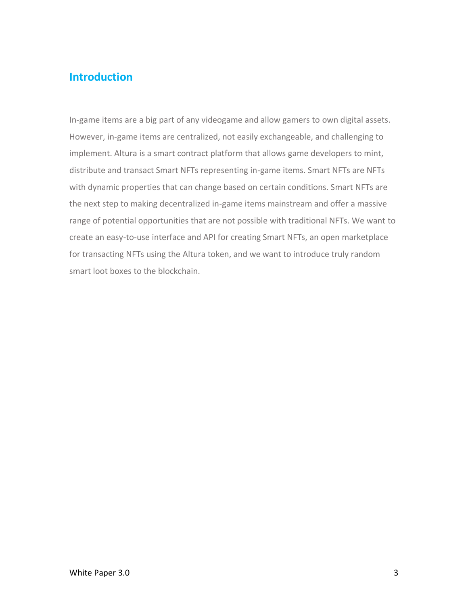## <span id="page-2-0"></span>**Introduction**

In-game items are a big part of any videogame and allow gamers to own digital assets. However, in-game items are centralized, not easily exchangeable, and challenging to implement. Altura is a smart contract platform that allows game developers to mint, distribute and transact Smart NFTs representing in-game items. Smart NFTs are NFTs with dynamic properties that can change based on certain conditions. Smart NFTs are the next step to making decentralized in-game items mainstream and offer a massive range of potential opportunities that are not possible with traditional NFTs. We want to create an easy-to-use interface and API for creating Smart NFTs, an open marketplace for transacting NFTs using the Altura token, and we want to introduce truly random smart loot boxes to the blockchain.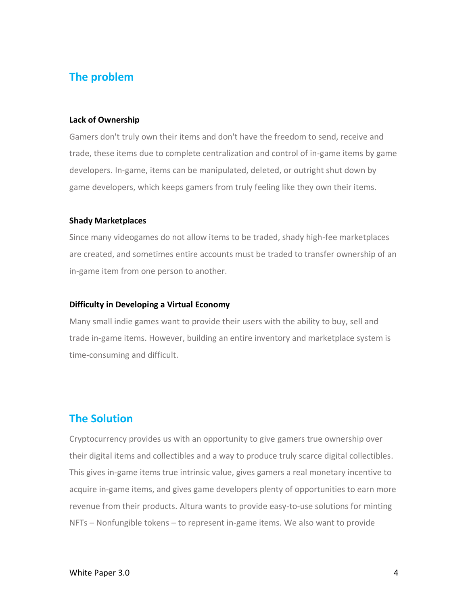## <span id="page-3-0"></span>**The problem**

#### **Lack of Ownership**

Gamers don't truly own their items and don't have the freedom to send, receive and trade, these items due to complete centralization and control of in-game items by game developers. In-game, items can be manipulated, deleted, or outright shut down by game developers, which keeps gamers from truly feeling like they own their items.

#### **Shady Marketplaces**

Since many videogames do not allow items to be traded, shady high-fee marketplaces are created, and sometimes entire accounts must be traded to transfer ownership of an in-game item from one person to another.

#### **Difficulty in Developing a Virtual Economy**

Many small indie games want to provide their users with the ability to buy, sell and trade in-game items. However, building an entire inventory and marketplace system is time-consuming and difficult.

## <span id="page-3-1"></span>**The Solution**

Cryptocurrency provides us with an opportunity to give gamers true ownership over their digital items and collectibles and a way to produce truly scarce digital collectibles. This gives in-game items true intrinsic value, gives gamers a real monetary incentive to acquire in-game items, and gives game developers plenty of opportunities to earn more revenue from their products. Altura wants to provide easy-to-use solutions for minting NFTs – Nonfungible tokens – to represent in-game items. We also want to provide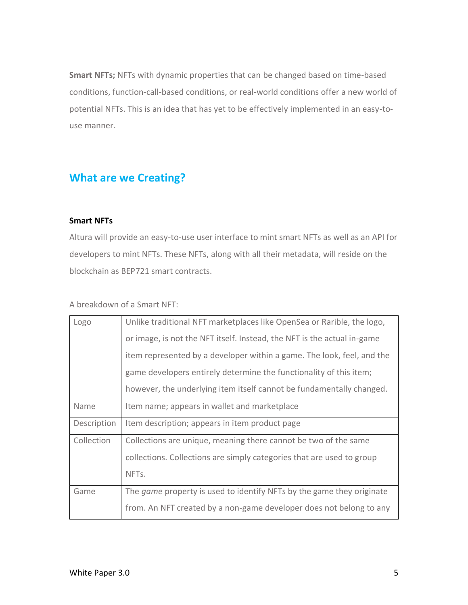**Smart NFTs;** NFTs with dynamic properties that can be changed based on time-based conditions, function-call-based conditions, or real-world conditions offer a new world of potential NFTs. This is an idea that has yet to be effectively implemented in an easy-touse manner.

## <span id="page-4-0"></span>**What are we Creating?**

### **Smart NFTs**

Altura will provide an easy-to-use user interface to mint smart NFTs as well as an API for developers to mint NFTs. These NFTs, along with all their metadata, will reside on the blockchain as BEP721 smart contracts.

### A breakdown of a Smart NFT:

| Logo        | Unlike traditional NFT marketplaces like OpenSea or Rarible, the logo,       |  |  |
|-------------|------------------------------------------------------------------------------|--|--|
|             | or image, is not the NFT itself. Instead, the NFT is the actual in-game      |  |  |
|             | item represented by a developer within a game. The look, feel, and the       |  |  |
|             | game developers entirely determine the functionality of this item;           |  |  |
|             | however, the underlying item itself cannot be fundamentally changed.         |  |  |
| Name        | Item name; appears in wallet and marketplace                                 |  |  |
| Description | Item description; appears in item product page                               |  |  |
| Collection  | Collections are unique, meaning there cannot be two of the same              |  |  |
|             | collections. Collections are simply categories that are used to group        |  |  |
|             | NFT <sub>s</sub> .                                                           |  |  |
| Game        | The <i>game</i> property is used to identify NFTs by the game they originate |  |  |
|             | from. An NFT created by a non-game developer does not belong to any          |  |  |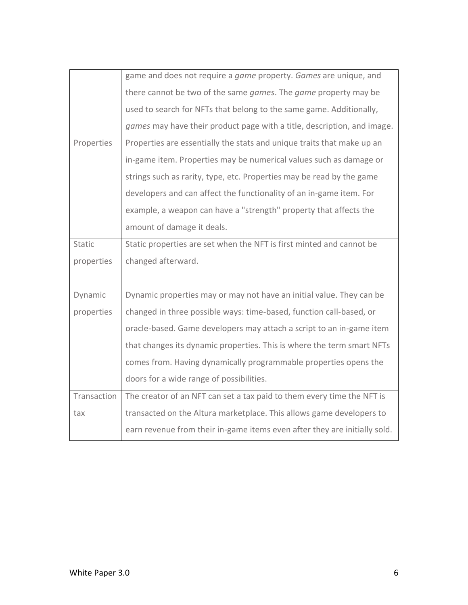|               | game and does not require a <i>game</i> property. Games are unique, and |  |  |  |  |
|---------------|-------------------------------------------------------------------------|--|--|--|--|
|               | there cannot be two of the same games. The game property may be         |  |  |  |  |
|               | used to search for NFTs that belong to the same game. Additionally,     |  |  |  |  |
|               | games may have their product page with a title, description, and image. |  |  |  |  |
| Properties    | Properties are essentially the stats and unique traits that make up an  |  |  |  |  |
|               | in-game item. Properties may be numerical values such as damage or      |  |  |  |  |
|               | strings such as rarity, type, etc. Properties may be read by the game   |  |  |  |  |
|               | developers and can affect the functionality of an in-game item. For     |  |  |  |  |
|               | example, a weapon can have a "strength" property that affects the       |  |  |  |  |
|               | amount of damage it deals.                                              |  |  |  |  |
| <b>Static</b> | Static properties are set when the NFT is first minted and cannot be    |  |  |  |  |
|               |                                                                         |  |  |  |  |
| properties    | changed afterward.                                                      |  |  |  |  |
|               |                                                                         |  |  |  |  |
| Dynamic       | Dynamic properties may or may not have an initial value. They can be    |  |  |  |  |
| properties    | changed in three possible ways: time-based, function call-based, or     |  |  |  |  |
|               | oracle-based. Game developers may attach a script to an in-game item    |  |  |  |  |
|               | that changes its dynamic properties. This is where the term smart NFTs  |  |  |  |  |
|               | comes from. Having dynamically programmable properties opens the        |  |  |  |  |
|               | doors for a wide range of possibilities.                                |  |  |  |  |
| Transaction   | The creator of an NFT can set a tax paid to them every time the NFT is  |  |  |  |  |
| tax           | transacted on the Altura marketplace. This allows game developers to    |  |  |  |  |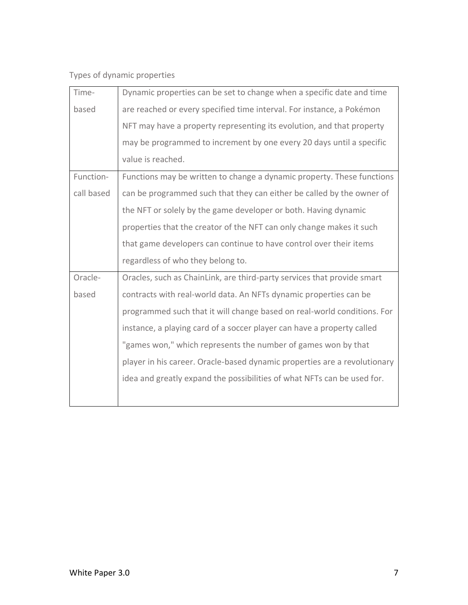Types of dynamic properties

| Time-      | Dynamic properties can be set to change when a specific date and time     |  |  |  |  |
|------------|---------------------------------------------------------------------------|--|--|--|--|
| based      | are reached or every specified time interval. For instance, a Pokémon     |  |  |  |  |
|            | NFT may have a property representing its evolution, and that property     |  |  |  |  |
|            | may be programmed to increment by one every 20 days until a specific      |  |  |  |  |
|            | value is reached.                                                         |  |  |  |  |
| Function-  | Functions may be written to change a dynamic property. These functions    |  |  |  |  |
| call based | can be programmed such that they can either be called by the owner of     |  |  |  |  |
|            | the NFT or solely by the game developer or both. Having dynamic           |  |  |  |  |
|            | properties that the creator of the NFT can only change makes it such      |  |  |  |  |
|            | that game developers can continue to have control over their items        |  |  |  |  |
|            | regardless of who they belong to.                                         |  |  |  |  |
| Oracle-    | Oracles, such as ChainLink, are third-party services that provide smart   |  |  |  |  |
| based      | contracts with real-world data. An NFTs dynamic properties can be         |  |  |  |  |
|            | programmed such that it will change based on real-world conditions. For   |  |  |  |  |
|            | instance, a playing card of a soccer player can have a property called    |  |  |  |  |
|            | "games won," which represents the number of games won by that             |  |  |  |  |
|            | player in his career. Oracle-based dynamic properties are a revolutionary |  |  |  |  |
|            | idea and greatly expand the possibilities of what NFTs can be used for.   |  |  |  |  |
|            |                                                                           |  |  |  |  |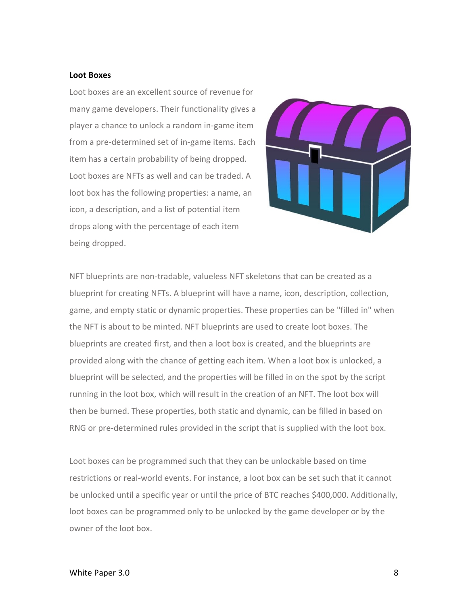#### **Loot Boxes**

Loot boxes are an excellent source of revenue for many game developers. Their functionality gives a player a chance to unlock a random in-game item from a pre-determined set of in-game items. Each item has a certain probability of being dropped. Loot boxes are NFTs as well and can be traded. A loot box has the following properties: a name, an icon, a description, and a list of potential item drops along with the percentage of each item being dropped.



NFT blueprints are non-tradable, valueless NFT skeletons that can be created as a blueprint for creating NFTs. A blueprint will have a name, icon, description, collection, game, and empty static or dynamic properties. These properties can be "filled in" when the NFT is about to be minted. NFT blueprints are used to create loot boxes. The blueprints are created first, and then a loot box is created, and the blueprints are provided along with the chance of getting each item. When a loot box is unlocked, a blueprint will be selected, and the properties will be filled in on the spot by the script running in the loot box, which will result in the creation of an NFT. The loot box will then be burned. These properties, both static and dynamic, can be filled in based on RNG or pre-determined rules provided in the script that is supplied with the loot box.

Loot boxes can be programmed such that they can be unlockable based on time restrictions or real-world events. For instance, a loot box can be set such that it cannot be unlocked until a specific year or until the price of BTC reaches \$400,000. Additionally, loot boxes can be programmed only to be unlocked by the game developer or by the owner of the loot box.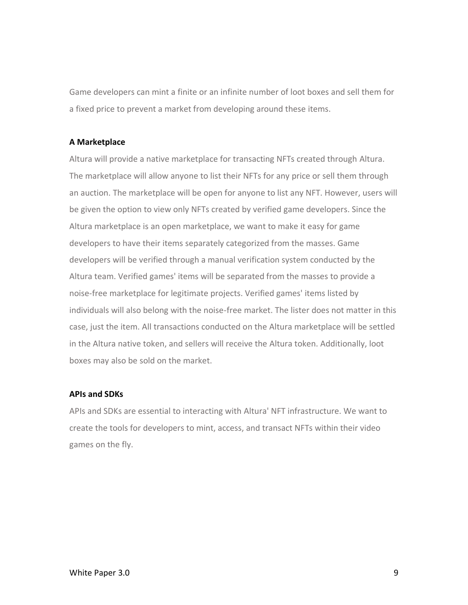Game developers can mint a finite or an infinite number of loot boxes and sell them for a fixed price to prevent a market from developing around these items.

#### **A Marketplace**

Altura will provide a native marketplace for transacting NFTs created through Altura. The marketplace will allow anyone to list their NFTs for any price or sell them through an auction. The marketplace will be open for anyone to list any NFT. However, users will be given the option to view only NFTs created by verified game developers. Since the Altura marketplace is an open marketplace, we want to make it easy for game developers to have their items separately categorized from the masses. Game developers will be verified through a manual verification system conducted by the Altura team. Verified games' items will be separated from the masses to provide a noise-free marketplace for legitimate projects. Verified games' items listed by individuals will also belong with the noise-free market. The lister does not matter in this case, just the item. All transactions conducted on the Altura marketplace will be settled in the Altura native token, and sellers will receive the Altura token. Additionally, loot boxes may also be sold on the market.

#### **APIs and SDKs**

APIs and SDKs are essential to interacting with Altura' NFT infrastructure. We want to create the tools for developers to mint, access, and transact NFTs within their video games on the fly.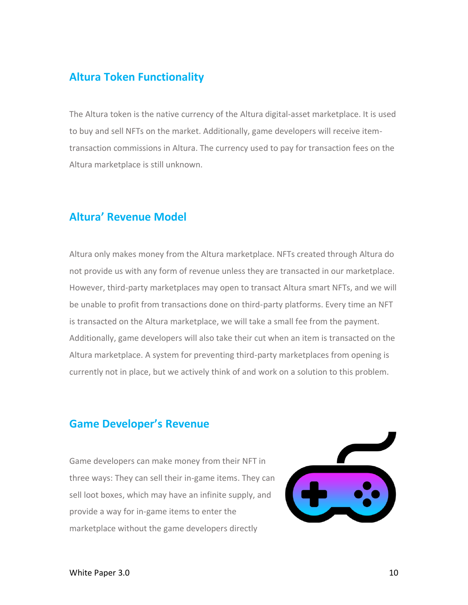## <span id="page-9-0"></span>**Altura Token Functionality**

The Altura token is the native currency of the Altura digital-asset marketplace. It is used to buy and sell NFTs on the market. Additionally, game developers will receive itemtransaction commissions in Altura. The currency used to pay for transaction fees on the Altura marketplace is still unknown.

## <span id="page-9-1"></span>**Altura' Revenue Model**

Altura only makes money from the Altura marketplace. NFTs created through Altura do not provide us with any form of revenue unless they are transacted in our marketplace. However, third-party marketplaces may open to transact Altura smart NFTs, and we will be unable to profit from transactions done on third-party platforms. Every time an NFT is transacted on the Altura marketplace, we will take a small fee from the payment. Additionally, game developers will also take their cut when an item is transacted on the Altura marketplace. A system for preventing third-party marketplaces from opening is currently not in place, but we actively think of and work on a solution to this problem.

## <span id="page-9-2"></span>**Game Developer's Revenue**

Game developers can make money from their NFT in three ways: They can sell their in-game items. They can sell loot boxes, which may have an infinite supply, and provide a way for in-game items to enter the marketplace without the game developers directly

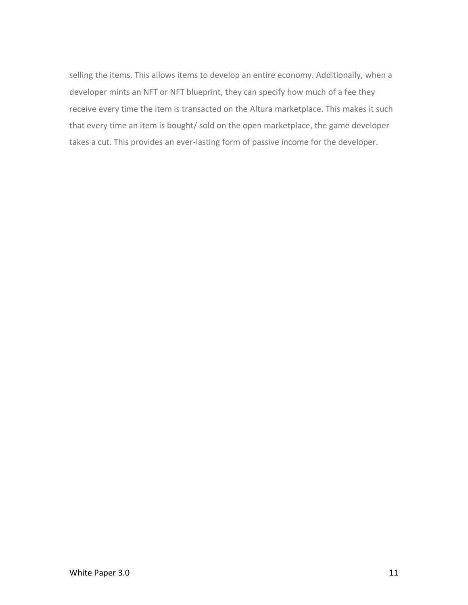selling the items. This allows items to develop an entire economy. Additionally, when a developer mints an NFT or NFT blueprint, they can specify how much of a fee they receive every time the item is transacted on the Altura marketplace. This makes it such that every time an item is bought/ sold on the open marketplace, the game developer takes a cut. This provides an ever-lasting form of passive income for the developer.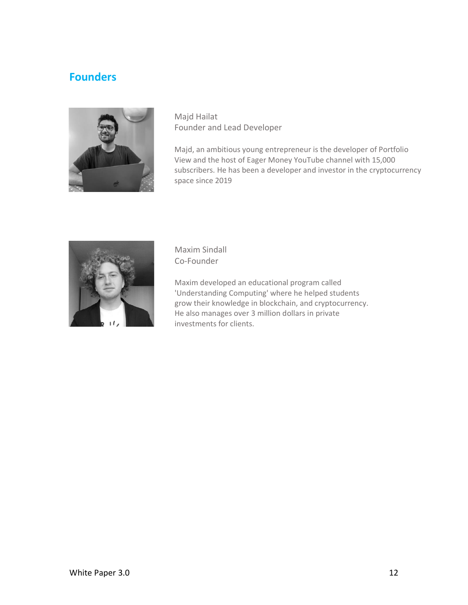## <span id="page-11-0"></span>**Founders**



Majd Hailat Founder and Lead Developer

Majd, an ambitious young entrepreneur is the developer of Portfolio View and the host of Eager Money YouTube channel with 15,000 subscribers. He has been a developer and investor in the cryptocurrency space since 2019



Maxim Sindall Co-Founder

Maxim developed an educational program called 'Understanding Computing' where he helped students grow their knowledge in blockchain, and cryptocurrency. He also manages over 3 million dollars in private investments for clients.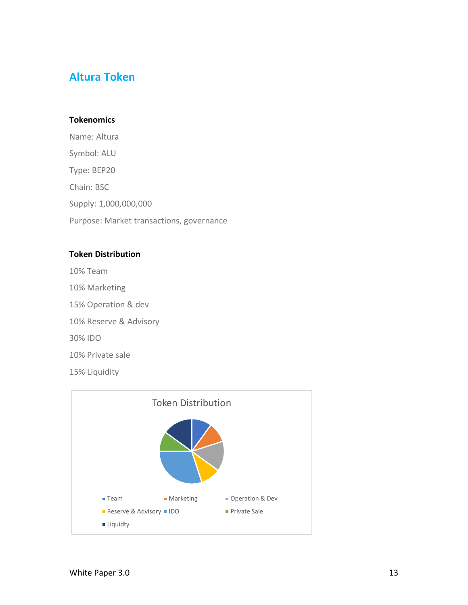## <span id="page-12-0"></span>**Altura Token**

### **Tokenomics**

Name: Altura Symbol: ALU Type: BEP20 Chain: BSC Supply: 1,000,000,000 Purpose: Market transactions, governance

### **Token Distribution**

10% Team

- 10% Marketing
- 15% Operation & dev
- 10% Reserve & Advisory

30% IDO

10% Private sale

15% Liquidity

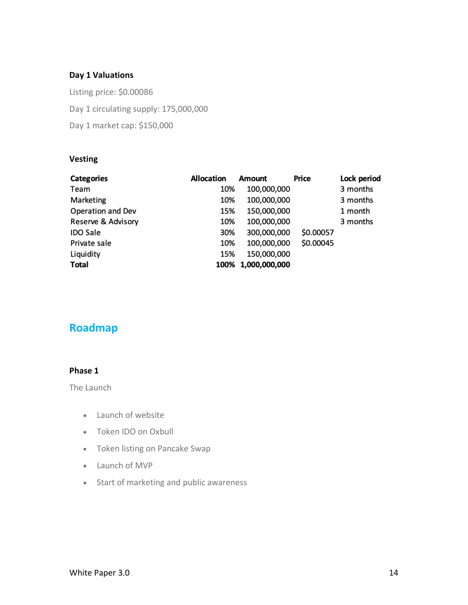### **Day 1 Valuations**

Listing price: \$0.00086 Day 1 circulating supply: 175,000,000 Day 1 market cap: \$150,000

### **Vesting**

| <b>Categories</b>  | Allocation | Amount             | Price     | Lock period |
|--------------------|------------|--------------------|-----------|-------------|
| Team               | 10%        | 100,000,000        |           | 3 months    |
| Marketing          | 10%        | 100,000,000        |           | 3 months    |
| Operation and Dev  | 15%        | 150,000,000        |           | 1 month     |
| Reserve & Advisory | 10%        | 100,000,000        |           | 3 months    |
| <b>IDO Sale</b>    | 30%        | 300,000,000        | \$0.00057 |             |
| Private sale       | 10%        | 100,000,000        | \$0.00045 |             |
| Liquidity          | 15%        | 150,000,000        |           |             |
| <b>Total</b>       |            | 100% 1,000,000,000 |           |             |

## <span id="page-13-0"></span>**Roadmap**

## **Phase 1**

The Launch

- Launch of website
- Token IDO on Oxbull
- Token listing on Pancake Swap
- Launch of MVP
- Start of marketing and public awareness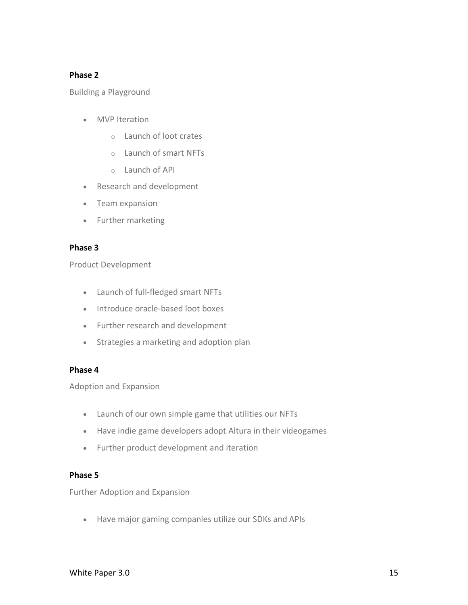### **Phase 2**

Building a Playground

- MVP Iteration
	- o Launch of loot crates
	- o Launch of smart NFTs
	- $\circ$  Launch of API
- Research and development
- Team expansion
- Further marketing

### **Phase 3**

Product Development

- Launch of full-fledged smart NFTs
- Introduce oracle-based loot boxes
- Further research and development
- Strategies a marketing and adoption plan

### **Phase 4**

Adoption and Expansion

- Launch of our own simple game that utilities our NFTs
- Have indie game developers adopt Altura in their videogames
- Further product development and iteration

### **Phase 5**

Further Adoption and Expansion

• Have major gaming companies utilize our SDKs and APIs